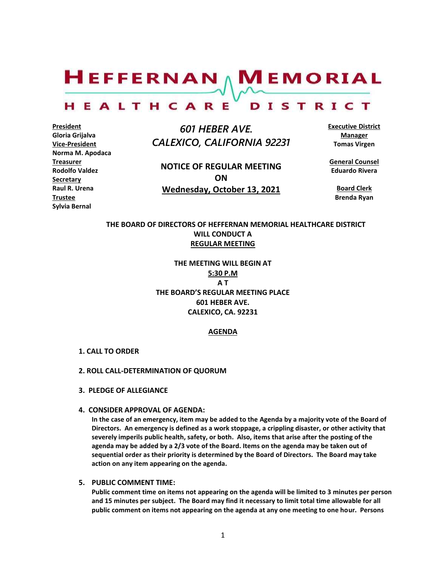$H$ EFFERNAN  $\wedge$  M EMORIAL

#### HEALTHCARE DISTRICT

**President Gloria Grijalva Vice-President Norma M. Apodaca Treasurer Rodolfo Valdez Secretary Raul R. Urena Trustee Sylvia Bernal**

 *601 HEBER AVE. CALEXICO, CALIFORNIA 92231*

**NOTICE OF REGULAR MEETING ON Wednesday, October 13, 2021**

**Executive District Manager Tomas Virgen**

**General Counsel Eduardo Rivera**

**Board Clerk Brenda Ryan**

# **THE BOARD OF DIRECTORS OF HEFFERNAN MEMORIAL HEALTHCARE DISTRICT WILL CONDUCT A REGULAR MEETING**

**THE MEETING WILL BEGIN AT 5:30 P.M A T THE BOARD'S REGULAR MEETING PLACE 601 HEBER AVE. CALEXICO, CA. 92231**

# **AGENDA**

### **1. CALL TO ORDER**

## **2. ROLL CALL-DETERMINATION OF QUORUM**

- **3. PLEDGE OF ALLEGIANCE**
- **4. CONSIDER APPROVAL OF AGENDA:**

**In the case of an emergency, item may be added to the Agenda by a majority vote of the Board of Directors. An emergency is defined as a work stoppage, a crippling disaster, or other activity that severely imperils public health, safety, or both. Also, items that arise after the posting of the agenda may be added by a 2/3 vote of the Board. Items on the agenda may be taken out of sequential order as their priority is determined by the Board of Directors. The Board may take action on any item appearing on the agenda.**

# **5. PUBLIC COMMENT TIME:**

**Public comment time on items not appearing on the agenda will be limited to 3 minutes per person and 15 minutes per subject. The Board may find it necessary to limit total time allowable for all public comment on items not appearing on the agenda at any one meeting to one hour. Persons**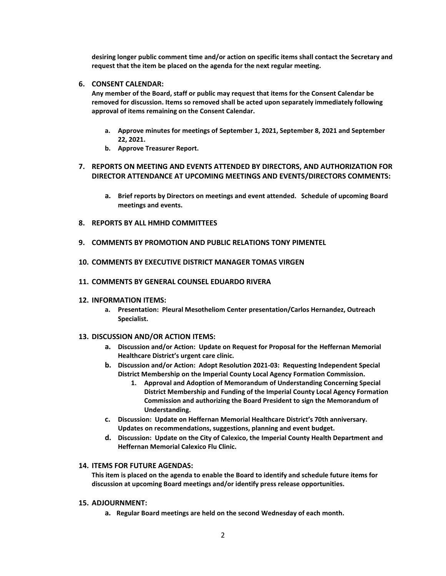**desiring longer public comment time and/or action on specific items shall contact the Secretary and request that the item be placed on the agenda for the next regular meeting.**

# **6. CONSENT CALENDAR:**

**Any member of the Board, staff or public may request that items for the Consent Calendar be removed for discussion. Items so removed shall be acted upon separately immediately following approval of items remaining on the Consent Calendar.**

- **a. Approve minutes for meetings of September 1, 2021, September 8, 2021 and September 22, 2021.**
- **b. Approve Treasurer Report.**

# **7. REPORTS ON MEETING AND EVENTS ATTENDED BY DIRECTORS, AND AUTHORIZATION FOR DIRECTOR ATTENDANCE AT UPCOMING MEETINGS AND EVENTS/DIRECTORS COMMENTS:**

- **a. Brief reports by Directors on meetings and event attended. Schedule of upcoming Board meetings and events.**
- **8. REPORTS BY ALL HMHD COMMITTEES**
- **9. COMMENTS BY PROMOTION AND PUBLIC RELATIONS TONY PIMENTEL**
- **10. COMMENTS BY EXECUTIVE DISTRICT MANAGER TOMAS VIRGEN**
- **11. COMMENTS BY GENERAL COUNSEL EDUARDO RIVERA**
- **12. INFORMATION ITEMS:**
	- **a. Presentation: Pleural Mesotheliom Center presentation/Carlos Hernandez, Outreach Specialist.**

# **13. DISCUSSION AND/OR ACTION ITEMS:**

- **a. Discussion and/or Action: Update on Request for Proposal for the Heffernan Memorial Healthcare District's urgent care clinic.**
- **b. Discussion and/or Action: Adopt Resolution 2021-03: Requesting Independent Special District Membership on the Imperial County Local Agency Formation Commission.**
	- **1. Approval and Adoption of Memorandum of Understanding Concerning Special District Membership and Funding of the Imperial County Local Agency Formation Commission and authorizing the Board President to sign the Memorandum of Understanding.**
- **c. Discussion: Update on Heffernan Memorial Healthcare District's 70th anniversary. Updates on recommendations, suggestions, planning and event budget.**
- **d. Discussion: Update on the City of Calexico, the Imperial County Health Department and Heffernan Memorial Calexico Flu Clinic.**

# **14. ITEMS FOR FUTURE AGENDAS:**

**This item is placed on the agenda to enable the Board to identify and schedule future items for discussion at upcoming Board meetings and/or identify press release opportunities.**

### **15. ADJOURNMENT:**

**a. Regular Board meetings are held on the second Wednesday of each month.**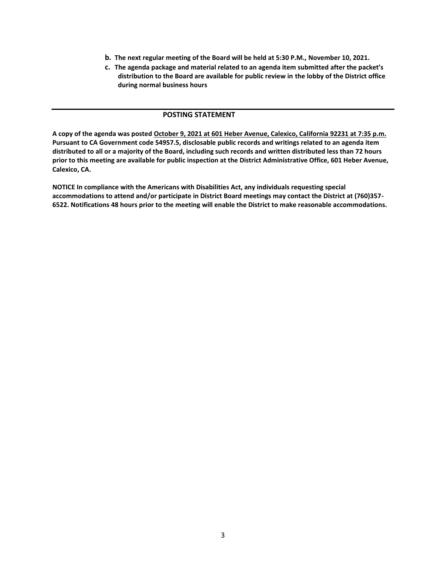- **b. The next regular meeting of the Board will be held at 5:30 P.M., November 10, 2021.**
- **c. The agenda package and material related to an agenda item submitted after the packet's distribution to the Board are available for public review in the lobby of the District office during normal business hours**

# **POSTING STATEMENT**

**A copy of the agenda was posted October 9, 2021 at 601 Heber Avenue, Calexico, California 92231 at 7:35 p.m. Pursuant to CA Government code 54957.5, disclosable public records and writings related to an agenda item distributed to all or a majority of the Board, including such records and written distributed less than 72 hours prior to this meeting are available for public inspection at the District Administrative Office, 601 Heber Avenue, Calexico, CA.**

**NOTICE In compliance with the Americans with Disabilities Act, any individuals requesting special accommodations to attend and/or participate in District Board meetings may contact the District at (760)357- 6522. Notifications 48 hours prior to the meeting will enable the District to make reasonable accommodations.**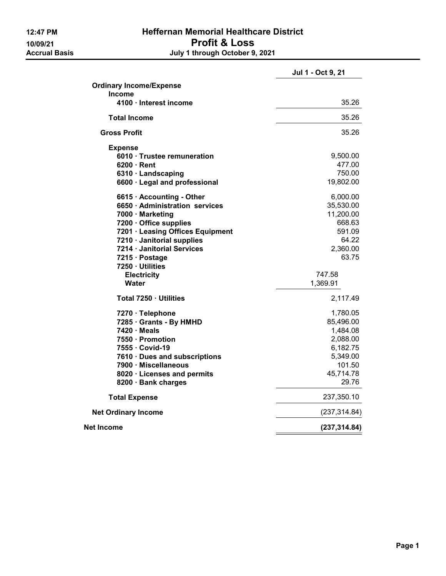# 12:47 PM Heffernan Memorial Healthcare District 10/09/21<br> **Profit & Loss**<br>
Accrual Basis<br> **10/09/21**<br> **10/09/21**<br> **10/09/21**<br> **10/09/21**<br> **10/09/21** July 1 through October 9, 2021

|                                  | Jul 1 - Oct 9, 21 |
|----------------------------------|-------------------|
| <b>Ordinary Income/Expense</b>   |                   |
| <b>Income</b>                    |                   |
| 4100 · Interest income           | 35.26             |
| <b>Total Income</b>              | 35.26             |
| <b>Gross Profit</b>              | 35.26             |
| <b>Expense</b>                   |                   |
| 6010 · Trustee remuneration      | 9,500.00          |
| $6200 \cdot$ Rent                | 477.00            |
| 6310 · Landscaping               | 750.00            |
| 6600 · Legal and professional    | 19,802.00         |
| 6615 · Accounting - Other        | 6,000.00          |
| 6650 · Administration services   | 35,530.00         |
| 7000 · Marketing                 | 11,200.00         |
| 7200 · Office supplies           | 668.63            |
| 7201 · Leasing Offices Equipment | 591.09            |
| 7210 · Janitorial supplies       | 64.22             |
| 7214 · Janitorial Services       | 2,360.00          |
| 7215 · Postage                   | 63.75             |
| 7250 · Utilities                 |                   |
| <b>Electricity</b>               | 747.58            |
| Water                            | 1,369.91          |
| Total 7250 · Utilities           | 2,117.49          |
| 7270 · Telephone                 | 1,780.05          |
| 7285 · Grants - By HMHD          | 85,496.00         |
| $7420 \cdot Meals$               | 1,484.08          |
| 7550 Promotion                   | 2,088.00          |
| 7555 Covid-19                    | 6,182.75          |
| 7610 · Dues and subscriptions    | 5,349.00          |
| 7900 · Miscellaneous             | 101.50            |
| 8020 · Licenses and permits      | 45,714.78         |
| 8200 · Bank charges              | 29.76             |
| <b>Total Expense</b>             | 237,350.10        |
| <b>Net Ordinary Income</b>       | (237, 314.84)     |
| Net Income                       | (237, 314.84)     |